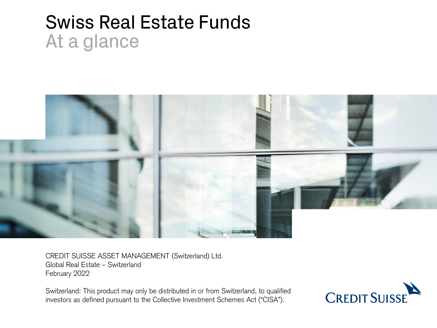# Swiss Real Estate Funds At a glance



CREDIT SUISSE ASSET MANAGEMENT (Switzerland) Ltd. Global Real Estate – Switzerland February 2022

Switzerland: This product may only be distributed in or from Switzerland, to qualified investors as defined pursuant to the Collective Investment Schemes Act ("CISA").

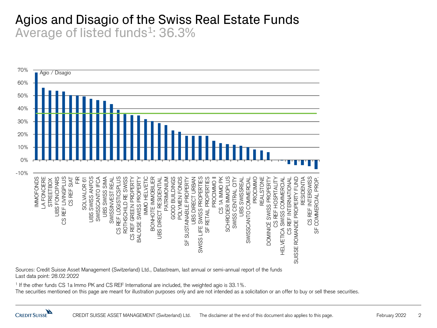# Agios and Disagio of the Swiss Real Estate Funds Average of listed funds<sup>1</sup>: 36.3%



Sources: Credit Suisse Asset Management (Switzerland) Ltd., Datastream, last annual or semi-annual report of the funds Last data point: 28.02.2022

1 If the other funds CS 1a Immo PK and CS REF International are included, the weighted agio is 33.1%.

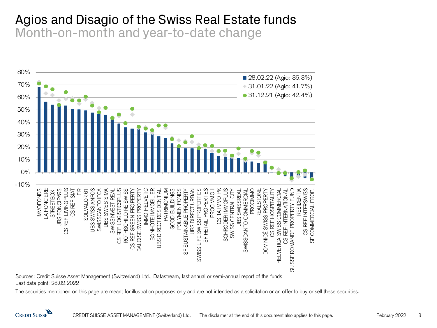#### Agios and Disagio of the Swiss Real Estate funds Month-on-month and year-to-date change



Sources: Credit Suisse Asset Management (Switzerland) Ltd., Datastream, last annual or semi-annual report of the funds Last data point: 28.02.2022

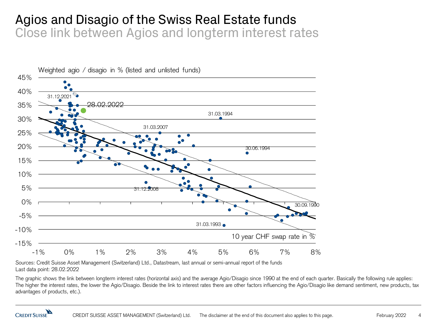#### Agios and Disagio of the Swiss Real Estate funds Close link between Agios and longterm interest rates



Sources: Credit Suisse Asset Management (Switzerland) Ltd., Datastream, last annual or semi-annual report of the funds Last data point: 28.02.2022

The graphic shows the link between longterm interest rates (horizontal axis) and the average Agio/Disagio since 1990 at the end of each quarter. Basically the following rule applies: The higher the interest rates, the lower the Agio/Disagio. Beside the link to interest rates there are other factors influencing the Agio/Disagio like demand sentiment, new products, tax advantages of products, etc.).

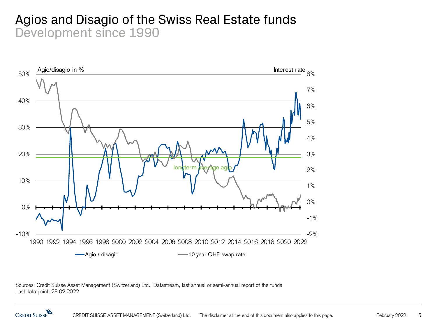#### Agios and Disagio of the Swiss Real Estate funds Development since 1990



Sources: Credit Suisse Asset Management (Switzerland) Ltd., Datastream, last annual or semi-annual report of the funds Last data point: 28.02.2022

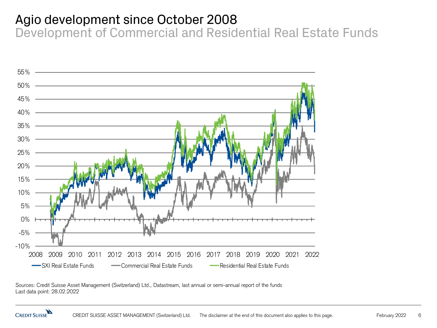# Agio development since October 2008

Development of Commercial and Residential Real Estate Funds



Sources: Credit Suisse Asset Management (Switzerland) Ltd., Datastream, last annual or semi-annual report of the funds Last data point: 28.02.2022

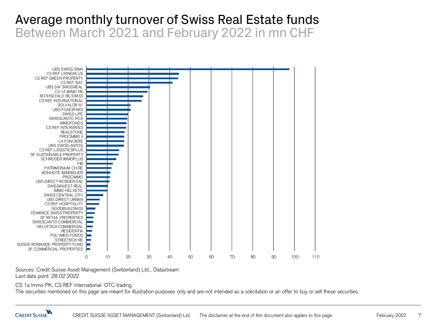# Average monthly turnover of Swiss Real Estate funds Between March 2021 and February 2022 in mn CHF



Sources: Credit Suisse Asset Management (Switzerland) Ltd., Datastream Last data point: 28.02.2022

CS 1a Immo PK, CS REF International: OTC-trading.

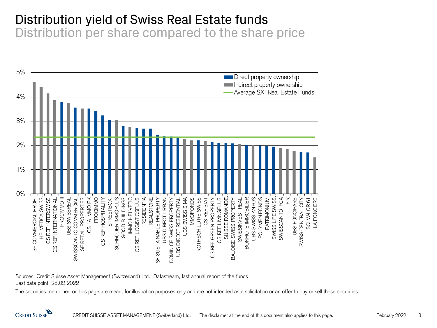# Distribution yield of Swiss Real Estate funds

Distribution per share compared to the share price



Sources: Credit Suisse Asset Management (Switzerland) Ltd., Datastream, last annual report of the funds Last data point: 28.02.2022

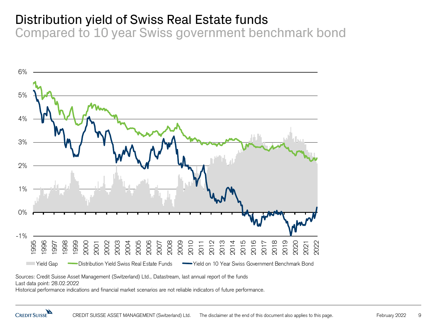# Distribution yield of Swiss Real Estate funds

Compared to 10 year Swiss government benchmark bond



Sources: Credit Suisse Asset Management (Switzerland) Ltd., Datastream, last annual report of the funds

Last data point: 28.02.2022

Historical performance indications and financial market scenarios are not reliable indicators of future performance.

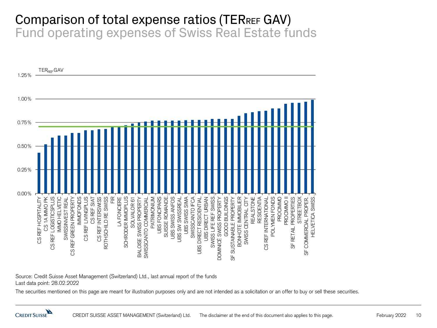#### Comparison of total expense ratios (TERREF GAV) Fund operating expenses of Swiss Real Estate funds



Source: Credit Suisse Asset Management (Switzerland) Ltd., last annual report of the funds Last data point: 28.02.2022

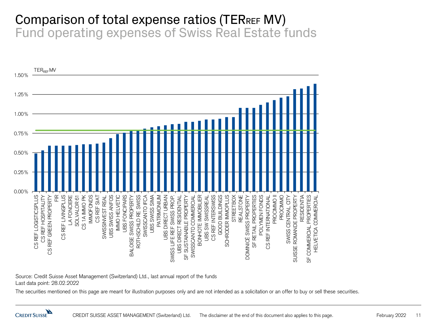#### Comparison of total expense ratios (TERREF MV) Fund operating expenses of Swiss Real Estate funds



Source: Credit Suisse Asset Management (Switzerland) Ltd., last annual report of the funds Last data point: 28.02.2022

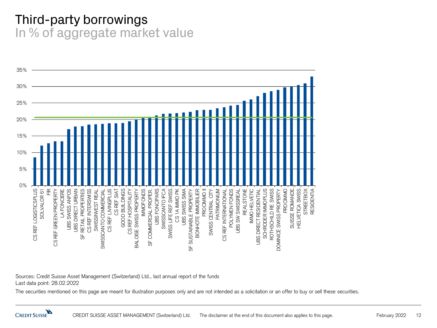# Third-party borrowings In % of aggregate market value



Sources: Credit Suisse Asset Management (Switzerland) Ltd., last annual report of the funds Last data point: 28.02.2022

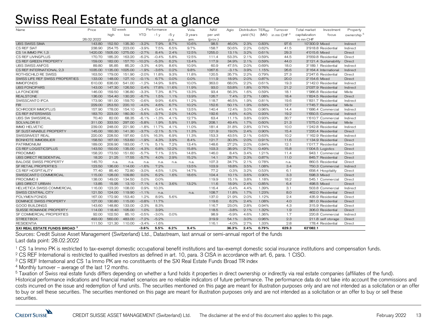# Swiss Real Estate funds at a glance

| Name                                     | Price      | 52 week |         | Performance |         | Vola. | <b>NAV</b> | Agio     | Distribution TERREE |           | Turnover | Total market           | Investment     | Property               |                        |
|------------------------------------------|------------|---------|---------|-------------|---------|-------|------------|----------|---------------------|-----------|----------|------------------------|----------------|------------------------|------------------------|
|                                          |            | high    | low     | <b>YTD</b>  | $-1v$   | $-5v$ | 3 years    | per unit |                     | yield (%) | (MV)     | in mn CHF <sup>4</sup> | capitalization | focus                  | ownership <sup>5</sup> |
|                                          | 28.02.2022 |         |         |             |         | p.a.  | ann.       | (prov.)  |                     |           |          |                        | in mn CHF      |                        |                        |
| <b>UBS SWISS SIMA</b>                    | 143.80     | 152.50  | 135.30  | $-3.2%$     | 7.9%    | 8.7%  | 10.6%      | 98.5     | 46.0%               | 2.3%      | 0.83%    | 97.6                   | 10'300.9 Mixed |                        | Indirect               |
| CS REF SIAT                              | 238.90     | 254.75  | 223.00  | $-3.9%$     | 7.5%    | 6.5%  | 9.7%       | 158.7    | 50.6%               | 2.2%      | 0.62%    | 41.5                   |                | 3'918.8 Residential    | Indirect               |
| CS 1A IMMO PK 1,3                        | 1420.00    | 1505.00 | 1275.00 | $-2.7%$     | 8.4%    | 2.4%  | 12.5%      | 1255.0   | 13.1%               | 3.2%      | 0.61%    | 29.3                   | 4'015.6 Mixed  |                        | Direct                 |
| CS REF LIVINGPLUS                        | 170.70     | 185.20  | 163.20  | $-6.2%$     | $-0.4%$ | 5.8%  | 12.5%      | 111.4    | 53.3%               | 2.1%      | 0.59%    | 44.5                   |                | 3'559.8 Residential    | Direct                 |
| CS REF GREEN PROPERTY                    | 159.00     | 182.00  | 157.70  | $-10.2%$    | $-5.3%$ | 6.2%  | 13.4%      | 117.9    | 34.9%               | 2.1%      | 0.59%    | 44.0                   |                | 3'121.4 Sustainability | Direct                 |
| <b>UBS SWISS ANFOS</b>                   | 89.80      | 95.85   | 85.20   | $-3.3%$     | 4.9%    | 8.6%  | 10.9%      | 60.9     | 47.5%               | 2.0%      | 0.69%    | 18.0                   |                | 3'189.1 Residential    | Indirect               |
| CS REF INTERNATIONAL 2.3                 | 1035.00    | 1135.00 | 1025.00 | $-1.9%$     | $-3.6%$ | 0.2%  | 9.8%       | 1067.6   | $-3.1%$             | 3.9%      | 1.15%    | 26.6                   |                | 3'164.4 International  | Indirect               |
| ROTHSCHILD RE SWISS                      | 163.50     | 179.00  | 151.90  | $-2.0%$     | 11.8%   | 9.3%  | 11.8%      | 120.5    | 35.7%               | 2.2%      | 0.79%    | 27.3                   |                | 2'247.6 Residential    | Direct                 |
| SWISS LIFE REF SWISS PROPERTIES          | 133.00     | 148.00  | 127.10  | $-0.1%$     | 6.7%    | 0.0%  | 0.0%       | 111.9    | 18.9%               | 2.0%      | 0.87%    | 20.0                   | 2'154.6 Mixed  |                        | Direct                 |
| <b>IMMOFONDS</b>                         | 610.00     | 636.00  | 541.00  | $-1.2%$     | 14.9%   | 9.8%  | 10.0%      | 363.0    | 68.0%               | 2.2%      | 0.61%    | 19.3                   |                | 2'142.0 Residential    | Indirect               |
| <b>UBS FONCIPARS</b>                     | 143.00     | 147.30  | 126.50  | 0.4%        | 17.8%   | 11.6% | 11.9%      | 93.0     | 53.8%               | 1.8%      | 0.76%    | 21.2                   |                | 2'037.9 Residential    | Indirect               |
| LA FONCIERE                              | 146.00     | 159.50  | 136.80  | $-3.3%$     | 7.3%    | 8.7%  | 13.3%      | 93.4     | 56.3%               | 1.6%      | 0.59%    | 18.1                   |                | 1'986.8 Residential    | Mixte                  |
| <b>REALSTONE</b>                         | 136.00     | 154.40  | 130.20  | $-6.7%$     | 1.5%    | 1.1%  | 13.9%      | 126.7    | 7.4%                | 2.7%      | 1.08%    | 18.4                   |                | 1'824.5 Residential    | Direct                 |
| SWISSCANTO IFCA                          | 173.90     | 181.00  | 159.70  | $-0.6%$     | 9.9%    | 6.6%  | 11.2%      | 118.7    | 46.5%               | 1.9%      | 0.81%    | 19.6                   |                | 1'831.7 Residential    | Indirect               |
| FIR.                                     | 229.00     | 253.50  | 220.10  | $-4.0%$     | 4.6%    | 6.7%  | 10.2%      | 152.6    | 50.1%               | 1.9%      | 0.59%    | 12.7                   |                | 1'745.7 Residential    | Mixte                  |
| <b>SCHRODER IMMOPLUS</b>                 | 157.90     | 178.00  | 154.10  | $-3.4%$     | 0.4%    | 4.1%  | 13.5%      | 140.4    | 12.4%               | 3.0%      | 0.96%    | 14.4                   |                | 1'686.4 Commercial     | Indirect               |
| <b>CS REF INTERSWISS</b>                 | 183.70     | 223.00  | 180.30  | $-5.5%$     | $-3.7%$ | 2.0%  | 14.0%      | 192.6    | $-4.6%$             | 4.0%      | 0.93%    | 19.2                   |                | 1'650.5 Commercial     | Indirect               |
| UBS SW SWISSREAL                         | 70.40      | 82.00   | 68.35   | $-6.1%$     | $-1.3%$ | 4.1%  | 12.7%      | 63.4     | 11.1%               | 3.8%      | 0.93%    | 30.7                   |                | 1'610.7 Commercial     | Indirect               |
| SOLVALOR 61                              | 311.00     | 333.50  | 297.00  | $-5.8%$     | 1.9%    | 5.9%  | 11.9%      | 208.1    | 49.4%               | 1.7%      | 0.60%    | 21.3                   |                | 1'575.0 Residential    | Mixte                  |
| <b>IMMO HELVETIC</b>                     | 239.00     | 248.00  | 221.90  | $-1.8%$     | 11.7%   | 4.1%  | 11.0%      | 181.4    | 31.8%               | 2.8%      | 0.74%    | 10.0                   |                | 1'242.8 Residential    | Indirect               |
| SF SUSTAINABLE PROPERTY                  | 145.00     | 160.30  | 141.30  | $-3.7%$     | $-2.1%$ | 5.1%  | 11.3%      | 121.9    | 19.0%               | 2.4%      | 0.90%    | 15.4                   |                | 1'220.4 Residential    | Direct                 |
| SWISSINVEST REAL                         | 220.00     | 228.50  | 197.60  | 0.5%        | 16.3%   | 6.9%  | 11.3%      | 153.3    | 43.5%               | 2.1%      | 0.63%    | 10.2                   |                | 1'162.9 Residential    | Indirect               |
| <b>BONHOTE IMMOBILIER</b>                | 158.50     | 167.00  | 153.60  | $-1.9%$     | 4.3%    | 3.9%  | 8.4%       | 121.7    | 30.3%               | 2.0%      | 0.91%    | 11.6                   |                | 1'134.9 Residential    | Direct                 |
| <b>PATRIMONIUM</b>                       | 189.00     | 209.90  | 183.00  | $-7.1%$     | 5.1%    | 7.2%  | 13.4%      | 148.6    | 27.2%               | 2.0%      | 0.84%    | 12.1                   |                | 1'017.7 Residential    | Direct                 |
| CS REF LOGISTICSPLUS                     | 143.50     | 150.00  | 135.00  | $-4.3%$     | 6.8%    | 12.2% | 15.8%      | 103.3    | 38.9%               | 2.7%      | 0.49%    | 15.8                   |                | 1'004.5 Logistics      | Direct                 |
| <b>PROCIMMO</b>                          | 158.20     | 173.50  | 151.60  | $-5.7%$     | 7.1%    | 2.5%  | 14.8%      | 146.0    | 8.4%                | 3.4%      | 1.21%    | 11.4                   |                | 943.1 Commercial       | Direct                 |
| <b>UBS DIRECT RESIDENTIAL</b>            | 18.20      | 21.25   | 17.55   | $-5.7%$     | 4.0%    | 2.9%  | 15.2%      | 14.1     | 28.7%               | 2.3%      | 0.87%    | 11.0                   |                | 845.7 Residential      | Direct                 |
| <b>BALOISE SWISS PROPERTY</b>            | 145.70     | n.a.    | n.a.    | n.a.        | n.a.    | n.a.  | n.a.       | 107.3    | 34.7%               | 2.1%      | 0.78%    | n.a.                   |                | 860.5 Residential      | Direct                 |
| SF RETAIL PROPERTIES                     | 123.50     | 136.00  | 114.00  | $-1.6%$     | 7.2%    |       | 13.5%      | 103.9    | 18.8%               | 3.5%      | 1.08%    | 3.4                    |                | 750.3 Commercial       | Indirect               |
| CS REF HOSPITALITY                       | 77.40      | 85.40   | 72.80   | $-3.0%$     | 4.5%    | 1.0%  | 14.7%      | 77.2     | 0.3%                | 3.2%      | 0.53%    | 6.1                    |                | 658.4 Hospitality      | Direct                 |
| SWISSCANTO COMMERCIAL                    | 115,00     | 128.00  | 109.80  | 0.0%        | 6.2%    | 1.6%  | 18.6%      | 104.4    | 10.1%               | 3.6%      | 0.90%    | 3.3                    | 598.3 Mixed    |                        | Direct                 |
| PROCIMMO II                              | 138.00     | 149.00  | 134.50  | 0.0%        | 0.0%    |       |            | 119.9    | 15.1%               | 3.8%      | 1.18%    | 18.2                   |                | 545.1 Commercial       | Direct                 |
| <b>UBS DIRECT URBAN</b>                  | 13.85      | 15.95   | 13.10   | $-7.1%$     | 4.1%    | 3.6%  | 13.2%      | 11.6     | 18.9%               | 2.4%      | 0.85%    | 6.4                    | 498.5 Mixed    |                        | Direct                 |
| HELVETICA SWISS COMMERCIAL               | 116.00     | 123.20  | 108.00  | 0.9%        | 10.3%   |       |            | 116.4    | $-0.4%$             | 4.4%      | 1.39%    | 3.1                    |                | 503.8 Commercial       | Indirect               |
| SWISS CENTRAL CITY                       | 121.50     | 124.00  | 119.90  | $-1.1%$     | n.a.    |       | n.a.       | 108.7    | 11.8%               | 1.7%      | 1.23%    | 8.0                    |                | 462.0 Residential      | Direct                 |
| POLYMEN FONDS                            | 167.00     | 172.90  | 153.40  | 1.2%        | 8.9%    | 5.6%  |            | 137.0    | 21.9%               | 2.0%      | 1.12%    | 2.4                    |                | 435.9 Residential      | Direct                 |
| DOMINICÉ SWISS PROPERTY                  | 127.00     | 130.80  | 115.00  | $-0.8%$     | 11.7%   |       |            | 119.6    | 6.2%                | 2.4%      | 1.08%    | 4.0                    |                | 381.0 Residential      | Direct                 |
| GOOD BUILDINGS                           | 143.60     | 148.80  | 133.00  | $-2.3%$     | 8.3%    |       |            | 116.7    | 23.0%               | 2.8%      | 0.94%    | 4.3                    |                | 315.9 Residential      | Direct                 |
| SUISSE ROMANDE PROPERTY                  | 114.00     | 118.40  | 105.00  | 1.0%        | 3.9%    |       |            | 118.5    | $-3.8%$             | 2.1%      | 1.32%    | 1.9                    |                | 306.0 Residential      | Direct                 |
| SF COMMERCIAL PROPERTIES                 | 92.00      | 102.50  | 85.10   | $-0.5%$     | $-3.0%$ | 0.0%  |            | 98.9     | $-6.9%$             | 4.6%      | 1.36%    | 1.7                    |                | 220.8 Commercial       | Indirect               |
| <b>STREETBOX</b>                         | 493.00     | 560.00  | 483.00  | $-7.2%$     | $-5.2%$ |       |            | 319.9    | 54.1%               | 3.0%      | 0.96%    | 2.3                    |                | 211.8 self storage     | Direct                 |
| <b>RESIDENTIA</b>                        | 111.50     | 121.30  | 110.00  | $-3.4%$     | $-1.6%$ |       |            | 116.1    | $-4.0%$             | 2.7%      | 1.33%    | 2.8                    |                | 178.4 Residential      | Direct                 |
| SXI REAL ESTATE FUNDS BROAD <sup>3</sup> |            |         |         | $-3.6%$     | 5.5%    | 6.2%  | 9.4%       |          | 36.3%               | 2.4%      | 0.79%    | 629.3                  | 62'082.1       |                        |                        |

Sources: Credit Suisse Asset Management (Switzerland) Ltd., Datastream, last annual or semi-annual report of the funds Last data point: 28.02.2022

<sup>1</sup> CS 1a Immo PK is restricted to tax-exempt domestic occupational benefit institutions and tax-exempt domestic social insurance institutions and compensation funds.

<sup>2</sup> CS REF International is restricted to qualified investors as defined in art. 10, para. 3 CISA in accordance with art. 6, para. 1 CISO.

<sup>3</sup> CS REF International and CS 1a Immo PK are no constituents of the SXI Real Estate Funds Broad TR index

 $4$  Monthly turnover – average of the last 12 months.

<sup>5</sup> Taxation of Swiss real estate funds differs depending on whether a fund holds it properties in direct ownership or indirectly via real estate companies (affiliates of the fund). Historical performance indications and financial market scenarios are no reliable indicators of future performance. The performance data do not take into account the commissions and costs incurred on the issue and redemption of fund units. The securities mentioned on this page are meant for illustration purposes only and are not intended as a solicitation or an offer to buy or sell these securities. The securities mentioned on this page are meant for illustration purposes only and are not intended as a solicitation or an offer to buy or sell these securities.

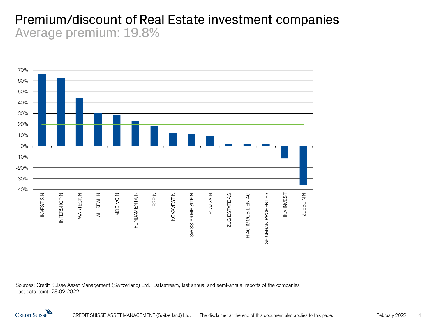#### Premium/discount of Real Estate investment companies Average premium: 19.8%



Sources: Credit Suisse Asset Management (Switzerland) Ltd., Datastream, last annual and semi-annual reports of the companies Last data point: 28.02.2022

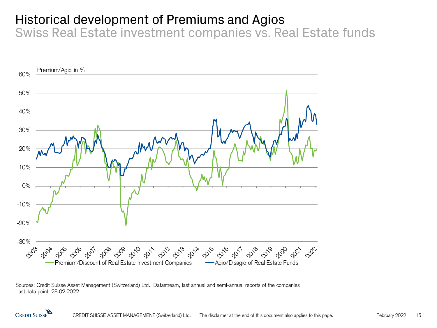# Historical development of Premiums and Agios

Swiss Real Estate investment companies vs. Real Estate funds



Sources: Credit Suisse Asset Management (Switzerland) Ltd., Datastream, last annual and semi-annual reports of the companies Last data point: 28.02.2022

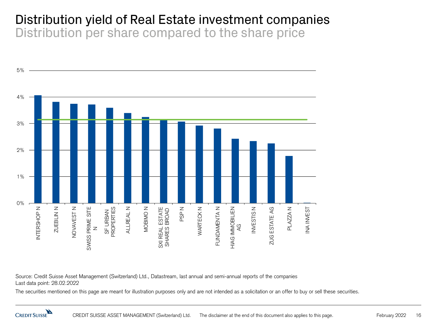#### Distribution yield of Real Estate investment companies Distribution per share compared to the share price



Source: Credit Suisse Asset Management (Switzerland) Ltd., Datastream, last annual and semi-annual reports of the companies Last data point: 28.02.2022

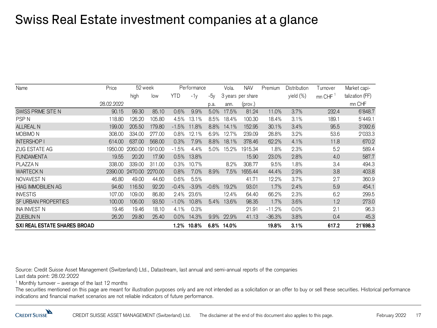# Swiss Real Estate investment companies at a glance

| Name                                | Price      | 52 week |         | Performance |         |         | Vola. | <b>NAV</b>        | Premium  | Distribution | Turnover | Market capi-    |
|-------------------------------------|------------|---------|---------|-------------|---------|---------|-------|-------------------|----------|--------------|----------|-----------------|
|                                     |            | high    | low     | YTD         | $-1v$   | $-5v$   |       | 3 years per share |          | yield (%)    | mn CHF   | talization (FF) |
|                                     | 28.02.2022 |         |         |             |         | p.a.    | ann.  | (prov.)           |          |              |          | mn CHF          |
| SWISS PRIME SITE N                  | 90.15      | 99.30   | 85.10   | 0.6%        | 9.9%    | 5.0%    | 17.5% | 81.24             | 11.0%    | 3.7%         | 232.4    | 6'848.7         |
| <b>PSPN</b>                         | 118.80     | 126.20  | 105.80  | 4.5%        | 13.1%   | 8.5%    | 18.4% | 100,30            | 18.4%    | 3.1%         | 189.1    | 5'449.1         |
| <b>ALLREAL N</b>                    | 199.00     | 205.50  | 179.80  | $-1.5%$     | 11.8%   | 8.8%    | 14.1% | 152.95            | 30.1%    | 3.4%         | 95.5     | 3'092.6         |
| MOBIMO <sub>N</sub>                 | 308.00     | 334.00  | 277.00  | $0.8\%$     | 12.1%   | 6.9%    | 12.7% | 239.09            | 28.8%    | 3.2%         | 53.6     | 2'033.3         |
| <b>INTERSHOP I</b>                  | 614.00     | 637,00  | 568.00  | 0.3%        | 7.9%    | 8.8%    | 18.1% | 378.46            | 62.2%    | 4.1%         | 11.8     | 670.2           |
| <b>ZUG ESTATE AG</b>                | 1950.00    | 2060.00 | 1910.00 | $-1.5%$     | 4.4%    | 5.0%    | 15.2% | 1915.34           | 1.8%     | 2.3%         | 5.2      | 589.4           |
| <b>FUNDAMENTA</b>                   | 19.55      | 20.20   | 17.90   | 0.5%        | 13.8%   |         |       | 15.90             | 23.0%    | 2.8%         | 4.0      | 587.7           |
| PLAZZA N                            | 338,00     | 339.00  | 311.00  | 0.3%        | 10.7%   |         | 8.2%  | 308.77            | 9.5%     | 1.8%         | 3.4      | 494.3           |
| <b>WARTECK N</b>                    | 2390.00    | 2470.00 | 2270.00 | 0.8%        | 7.0%    | 8.9%    | 7.5%  | 1655.44           | 44.4%    | 2.9%         | 3.8      | 403.8           |
| NOVAVEST N                          | 46.80      | 49.00   | 44.60   | 0.6%        | 5.5%    |         |       | 41.71             | 12.2%    | 3.7%         | 2.7      | 360.9           |
| <b>HIAG IMMOBILIEN AG</b>           | 94.60      | 16.50   | 92.20   | $-0.4%$     | $-3.9%$ | $-0.6%$ | 19.2% | 93.01             | 1.7%     | 2.4%         | 5.9      | 454.1           |
| <b>INVESTIS</b>                     | 107.00     | 109.00  | 86,80   | 2.4%        | 23.6%   |         | 12.4% | 64.40             | 66.2%    | 2.3%         | 6.2      | 299.5           |
| SF URBAN PROPERTIES                 | 100.00     | 106.00  | 93.50   | $-1.0%$     | 10.8%   | 5.4%    | 13.6% | 98.35             | 1.7%     | 3.6%         | 1.2      | 273.0           |
| <b>INA INVEST N</b>                 | 19.46      | 19.46   | 18.10   | 4.1%        | 0.3%    |         |       | 21.91             | $-11.2%$ | 0.0%         | 2.1      | 96.3            |
| <b>ZUEBLIN N</b>                    | 26.20      | 29.80   | 25.40   | 0.0%        | 14.3%   | 9.9%    | 22.9% | 41.13             | $-36.3%$ | 3.8%         | 0.4      | 45.3            |
| <b>SXI REAL ESTATE SHARES BROAD</b> |            |         |         | $1.2\%$     | 10.8%   | $6.8\%$ | 14.0% |                   | 19.8%    | 3.1%         | 617.2    | 21'698.3        |

Source: Credit Suisse Asset Management (Switzerland) Ltd., Datastream, last annual and semi-annual reports of the companies Last data point: 28.02.2022

<sup>1</sup> Monthly turnover – average of the last 12 months

The securities mentioned on this page are meant for illustration purposes only and are not intended as a solicitation or an offer to buy or sell these securities. Historical performance indications and financial market scenarios are not reliable indicators of future performance.

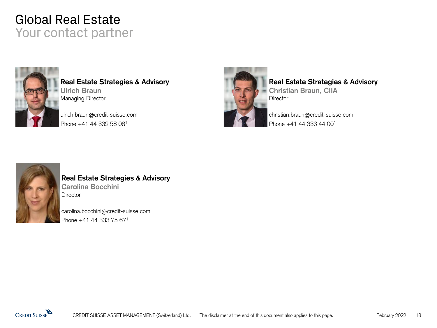# Global Real Estate Your contact partner



**Real Estate Strategies & Advisory Ulrich Braun** Managing Director

ulrich.braun@credit-suisse.com Phone +41 44 332 58 08<sup>1</sup>



#### **Real Estate Strategies & Advisory**

**Christian Braun, CIIA Director** 

christian.braun@credit-suisse.com Phone +41 44 333 44 00<sup>1</sup>



#### **Real Estate Strategies & Advisory Carolina Bocchini Director**

carolina.bocchini@credit-suisse.com Phone +41 44 333 75 671

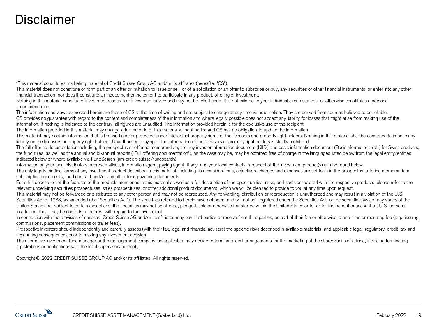# Disclaimer

"This material constitutes marketing material of Credit Suisse Group AG and/or its affiliates (hereafter "CS").

This material does not constitute or form part of an offer or invitation to issue or sell, or of a solicitation of an offer to subscribe or buy, any securities or other financial instruments, or enter into any other financial transaction, nor does it constitute an inducement or incitement to participate in any product, offering or investment.

Nothing in this material constitutes investment research or investment advice and may not be relied upon. It is not tailored to your individual circumstances, or otherwise constitutes a personal recommendation.

The information and views expressed herein are those of CS at the time of writing and are subject to change at any time without notice. They are derived from sources believed to be reliable. CS provides no guarantee with regard to the content and completeness of the information and where legally possible does not accept any liability for losses that might arise from making use of the information. If nothing is indicated to the contrary, all figures are unaudited. The information provided herein is for the exclusive use of the recipient.

The information provided in this material may change after the date of this material without notice and CS has no obligation to update the information.

This material may contain information that is licensed and/or protected under intellectual property rights of the licensors and property right holders. Nothing in this material shall be construed to impose any liability on the licensors or property right holders. Unauthorised copying of the information of the licensors or property right holders is strictly prohibited.

The full offering documentation including, the prospectus or offering memorandum, the key investor information document (KIID), the basic information document (Basisinformationsblatt) for Swiss products, the fund rules, as well as the annual and bi-annual reports ("Full offering documentation"), as the case may be, may be obtained free of charge in the languages listed below from the legal entity/entities indicated below or where available via FundSearch (am-credit-suisse/fundsearch).

Information on your local distributors, representatives, information agent, paying agent, if any, and your local contacts in respect of the investment product(s) can be found below.

The only legally binding terms of any investment product described in this material, including risk considerations, objectives, charges and expenses are set forth in the prospectus, offering memorandum, subscription documents, fund contract and/or any other fund governing documents.

For a full description of the features of the products mentioned in this material as well as a full description of the opportunities, risks, and costs associated with the respective products, please refer to the relevant underlying securities prospectuses, sales prospectuses, or other additional product documents, which we will be pleased to provide to you at any time upon request.

This material may not be forwarded or distributed to any other person and may not be reproduced. Any forwarding, distribution or reproduction is unauthorized and may result in a violation of the U.S. Securities Act of 1933, as amended (the "Securities Act"). The securities referred to herein have not been, and will not be, registered under the Securities Act, or the securities laws of any states of the United States and, subject to certain exceptions, the securities may not be offered, pledged, sold or otherwise transferred within the United States or to, or for the benefit or account of, U.S. persons. In addition, there may be conflicts of interest with regard to the investment.

In connection with the provision of services, Credit Suisse AG and/or its affiliates may pay third parties or receive from third parties, as part of their fee or otherwise, a one-time or recurring fee (e.g., issuing commissions, placement commissions or trailer fees).

Prospective investors should independently and carefully assess (with their tax, legal and financial advisers) the specific risks described in available materials, and applicable legal, regulatory, credit, tax and accounting consequences prior to making any investment decision.

The alternative investment fund manager or the management company, as applicable, may decide to terminate local arrangements for the marketing of the shares/units of a fund, including terminating registrations or notifications with the local supervisory authority.

Copyright © 2022 CREDIT SUISSE GROUP AG and/or its affiliates. All rights reserved.